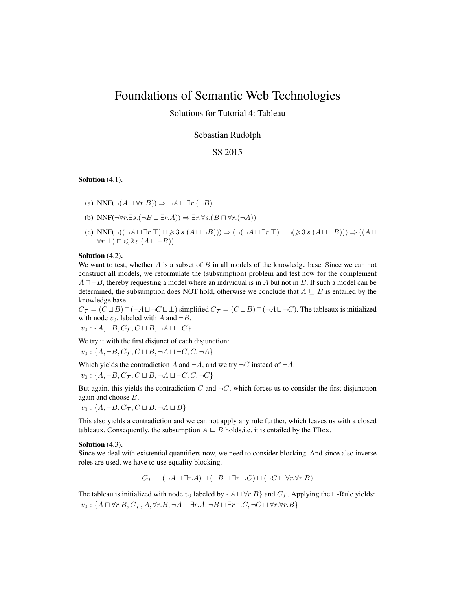# Foundations of Semantic Web Technologies

Solutions for Tutorial 4: Tableau

Sebastian Rudolph

## SS 2015

Solution  $(4.1)$ .

- (a) NNF( $\neg(A \sqcap \forall r.B)) \Rightarrow \neg A \sqcup \exists r.(\neg B)$
- (b) NNF $(\neg \forall r. \exists s. (\neg B \sqcup \exists r.A)) \Rightarrow \exists r. \forall s. (B \sqcap \forall r. (\neg A))$
- (c)  $NNF(\neg((\neg A \sqcap \exists r.\top) \sqcup \geq 3 s.(A \sqcup \neg B))) \Rightarrow (\neg(\neg A \sqcap \exists r.\top) \sqcap \neg (\geq 3 s.(A \sqcup \neg B))) \Rightarrow ((A \sqcup \neg B)) \Rightarrow ((A \sqcap \exists r.\top) \sqcap \neg (\geq 3 s.(A \sqcup \neg B)))$  $\forall r.\bot) \sqcap \leqslant 2 s.(A \sqcup \neg B))$

#### Solution  $(4.2)$ .

We want to test, whether A is a subset of B in all models of the knowledge base. Since we can not construct all models, we reformulate the (subsumption) problem and test now for the complement  $A \sqcap \neg B$ , thereby requesting a model where an individual is in A but not in B. If such a model can be determined, the subsumption does NOT hold, otherwise we conclude that  $A \sqsubseteq B$  is entailed by the knowledge base.

 $C_{\mathcal{T}} = (C \sqcup B) \sqcap (\neg A \sqcup \neg C \sqcup \bot)$  simplified  $C_{\mathcal{T}} = (C \sqcup B) \sqcap (\neg A \sqcup \neg C)$ . The tableaux is initialized with node  $v_0$ , labeled with A and  $\neg B$ .

 $v_0: \{A, \neg B, C_{\mathcal{T}}, C \sqcup B, \neg A \sqcup \neg C\}$ 

We try it with the first disjunct of each disjunction:

 $v_0: \{A, \neg B, C_{\mathcal{T}}, C \sqcup B, \neg A \sqcup \neg C, C, \neg A\}$ 

Which yields the contradiction A and  $\neg A$ , and we try  $\neg C$  instead of  $\neg A$ :

 $v_0$ : { $A, \neg B, C_{\mathcal{T}}, C \sqcup B, \neg A \sqcup \neg C, C, \neg C$ }

But again, this yields the contradiction C and  $\neg C$ , which forces us to consider the first disjunction again and choose B.

 $v_0$ : { $A, \neg B, C_{\mathcal{T}}, C \sqcup B, \neg A \sqcup B$ }

This also yields a contradiction and we can not apply any rule further, which leaves us with a closed tableaux. Consequently, the subsumption  $A \sqsubseteq B$  holds, i.e. it is entailed by the TBox.

Solution  $(4.3)$ .

Since we deal with existential quantifiers now, we need to consider blocking. And since also inverse roles are used, we have to use equality blocking.

$$
C_{\mathcal{T}} = (\neg A \sqcup \exists r.A) \sqcap (\neg B \sqcup \exists r^- . C) \sqcap (\neg C \sqcup \forall r. \forall r.B)
$$

The tableau is initialized with node  $v_0$  labeled by  $\{A \sqcap \forall r.B\}$  and  $C_{\tau}$ . Applying the  $\sqcap$ -Rule yields:  $v_0: \{A\sqcap \forall r.B, C_{\mathcal{T}}, A, \forall r.B, \neg A\sqcup \exists r.A, \neg B\sqcup \exists r^-.C, \neg C\sqcup \forall r.\forall r.B\}$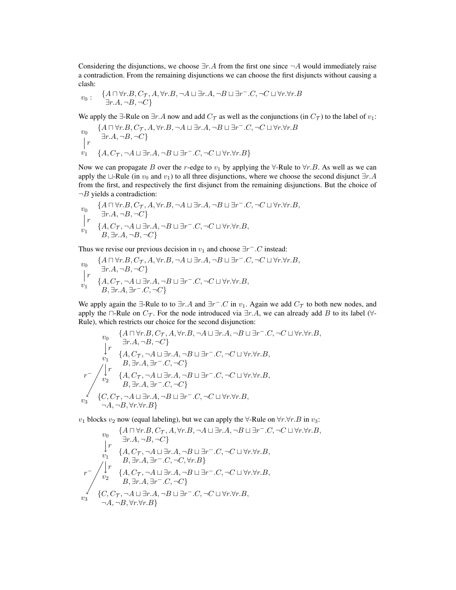Considering the disjunctions, we choose  $\exists r.A$  from the first one since  $\neg A$  would immediately raise a contradiction. From the remaining disjunctions we can choose the first disjuncts without causing a clash:

$$
v_0: \quad \{A\sqcap \forall r.B, C_{\mathcal{T}}, A, \forall r.B, \neg A\sqcup \exists r.A, \neg B\sqcup \exists r^-.C, \neg C\sqcup \forall r. \forall r.B \\ \exists r.A, \neg B, \neg C\}
$$

We apply the  $\exists$ -Rule on  $\exists r.A$  now and add  $C_{\mathcal{T}}$  as well as the conjunctions (in  $C_{\mathcal{T}}$ ) to the label of  $v_1$ :

$$
v_0 \quad \{A \sqcap \forall r.B, C_{\mathcal{T}}, A, \forall r.B, \neg A \sqcup \exists r.A, \neg B \sqcup \exists r^-.C, \neg C \sqcup \forall r. \forall r.B \sqcup \exists r.A, \neg B, \neg C\}
$$
\n
$$
\bigg| r \quad \{A, C_{\mathcal{T}}, \neg A \sqcup \exists r.A, \neg B \sqcup \exists r^-.C, \neg C \sqcup \forall r. \forall r.B \}
$$

Now we can propagate B over the r-edge to  $v_1$  by applying the  $\forall$ -Rule to  $\forall r.B.$  As well as we can apply the  $\Box$ -Rule (in  $v_0$  and  $v_1$ ) to all three disjunctions, where we choose the second disjunct  $\exists r.A$ from the first, and respectively the first disjunct from the remaining disjunctions. But the choice of  $\neg B$  yields a contradiction:

$$
\begin{array}{ll} v_0 & \{A\sqcap \forall r.B, C_{\mathcal{T}}, A, \forall r.B, \neg A \sqcup \exists r.A, \neg B \sqcup \exists r^-.C, \neg C \sqcup \forall r. \forall r.B, \\ & \qquad \exists r.A, \neg B, \neg C\} \\ v_1 & \{A, C_{\mathcal{T}}, \neg A \sqcup \exists r.A, \neg B \sqcup \exists r^-.C, \neg C \sqcup \forall r. \forall r.B, \\ & B, \exists r.A, \neg B, \neg C\} \end{array}
$$

Thus we revise our previous decision in  $v_1$  and choose  $\exists r^- . C$  instead:

$$
v_0 \n\begin{cases}\n\{A \sqcap \forall r.B, C_{\mathcal{T}}, A, \forall r.B, \neg A \sqcup \exists r.A, \neg B \sqcup \exists r^-.C, \neg C \sqcup \forall r.\forall r.B, \\
\vdots \\
\vdots \\
\{A, C_{\mathcal{T}}, \neg A \sqcup \exists r.A, \neg B \sqcup \exists r^-.C, \neg C \sqcup \forall r.\forall r.B, \\
B, \exists r.A, \exists r^-.C, \neg C\}\n\end{cases}
$$

We apply again the  $\exists$ -Rule to to  $\exists r.A$  and  $\exists r^-.C$  in  $v_1$ . Again we add  $C_{\mathcal{T}}$  to both new nodes, and apply the  $\Box$ -Rule on  $C_{\mathcal{T}}$ . For the node introduced via  $\exists r.A$ , we can already add B to its label ( $\forall$ -Rule), which restricts our choice for the second disjunction:

$$
\begin{array}{cc}\n & \{A\sqcap \forall r.B, C_{\mathcal{T}}, A, \forall r.B, \neg A \sqcup \exists r.A, \neg B \sqcup \exists r^-.C, \neg C \sqcup \forall r. \forall r.B, \\ & \downarrow r & \{A, C_{\mathcal{T}}, \neg A \sqcup \exists r.A, \neg B \sqcup \exists r^-.C, \neg C \sqcup \forall r. \forall r.B, \\ & \downarrow r & \{A, C_{\mathcal{T}}, \neg A \sqcup \exists r.A, \neg B \sqcup \exists r^-.C, \neg C \sqcup \forall r. \forall r.B, \\ & B, \exists r.A, \exists r^-.C, \neg C\} \\
 & \downarrow r & \{A, C_{\mathcal{T}}, \neg A \sqcup \exists r.A, \neg B \sqcup \exists r^-.C, \neg C \sqcup \forall r. \forall r.B, \\ & B, \exists r.A, \exists r^-.C, \neg C\} \\
 & \downarrow c & \{C, C_{\mathcal{T}}, \neg A \sqcup \exists r.A, \neg B \sqcup \exists r^-.C, \neg C \sqcup \forall r. \forall r.B, \\ & \neg A, \neg B, \forall r. \forall r.B\}\n\end{array}
$$

 $v_1$  blocks  $v_2$  now (equal labeling), but we can apply the  $\forall$ -Rule on  $\forall r.\forall r.B$  in  $v_3$ :

$$
\begin{array}{cc}\n & \{A\sqcap \forall r.B, C_{\mathcal{T}}, A, \forall r.B, \neg A \sqcup \exists r.A, \neg B \sqcup \exists r^-.C, \neg C \sqcup \forall r. \forall r.B, \\ & \downarrow r & \{A, C_{\mathcal{T}}, \neg A \sqcup \exists r.A, \neg B \sqcup \exists r^-.C, \neg C \sqcup \forall r. \forall r.B, \\ & \downarrow r & \{A, C_{\mathcal{T}}, \neg A \sqcup \exists r.A, \neg B \sqcup \exists r^-.C, \neg C \sqcup \forall r. \forall r.B, \\ & B, \exists r.A, \exists r^-.C, \neg C, \forall r.B\} \\
 & r^- & \downarrow r & \{A, C_{\mathcal{T}}, \neg A \sqcup \exists r.A, \neg B \sqcup \exists r^-.C, \neg C \sqcup \forall r. \forall r.B, \\ & B, \exists r.A, \exists r^-.C, \neg C\} \\
 & \{C, C_{\mathcal{T}}, \neg A \sqcup \exists r.A, \neg B \sqcup \exists r^-.C, \neg C \sqcup \forall r. \forall r.B, \\ & \neg A, \neg B, \forall r. \forall r.B\}\n\end{array}
$$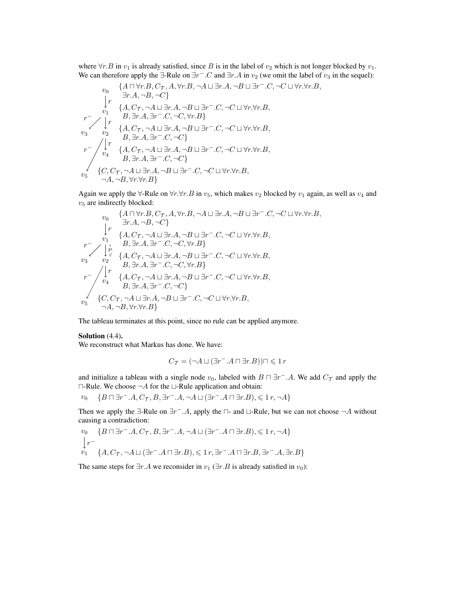where  $\forall r.B$  in  $v_1$  is already satisfied, since B is in the label of  $v_2$  which is not longer blocked by  $v_1$ . We can therefore apply the  $\exists$ -Rule on  $\exists r^- . C$  and  $\exists r.A$  in  $v_2$  (we omit the label of  $v_3$  in the sequel):

$$
\begin{array}{cccc}\n & \left\{A\sqcap \forall r.B, C_{\mathcal{T}}, A, \forall r.B, \neg A \sqcup \exists r.A, \neg B \sqcup \exists r^-.C, \neg C \sqcup \forall r.\forall r.B, \\ \downarrow r & \exists r.A, \neg B, \neg C \right\} \\
 & \downarrow r & \left\{A, C_{\mathcal{T}}, \neg A \sqcup \exists r.A, \neg B \sqcup \exists r^-.C, \neg C \sqcup \forall r.\forall r.B, \\ r^-\right.\n & \left.\begin{array}{c} p & B, \exists r.A, \exists r^-.C, \neg C, \forall r.B \\ \downarrow r & B, \exists r.A, \exists r^-.C, \neg C, \forall r.B \end{array}\right\} \\
 & \downarrow r & \left\{A, C_{\mathcal{T}}, \neg A \sqcup \exists r.A, \neg B \sqcup \exists r^-.C, \neg C \sqcup \forall r.\forall r.B, \\ B, \exists r.A, \exists r^-.C, \neg C \right\} \\
 & r^-\left\{\begin{array}{c} r & \left\{A, C_{\mathcal{T}}, \neg A \sqcup \exists r.A, \neg B \sqcup \exists r^-.C, \neg C \sqcup \forall r.\forall r.B, \\ B, \exists r.A, \exists r^-.C, \neg C \right\} \\ v_5 & \left\{C, C_{\mathcal{T}}, \neg A \sqcup \exists r.A, \neg B \sqcup \exists r^-.C, \neg C \sqcup \forall r.\forall r.B, \\ \neg A, \neg B, \forall r.\forall r.B \right\}\n\end{array}\right\}\n\end{array}
$$

Again we apply the  $\forall$ -Rule on  $\forall r.\forall r.B$  in  $v_5$ , which makes  $v_2$  blocked by  $v_1$  again, as well as  $v_4$  and  $v<sub>5</sub>$  are indirectly blocked:

$$
\begin{array}{cccc}\n & \left\{A\sqcap \forall r.B, C_{\mathcal{T}}, A, \forall r.B, \neg A \sqcup \exists r.A, \neg B \sqcup \exists r^-.C, \neg C \sqcup \forall r. \forall r.B, \\ \rVert r & \left\{A, C_{\mathcal{T}}, \neg A \sqcup \exists r.A, \neg B \sqcup \exists r^-.C, \neg C \sqcup \forall r. \forall r.B, \\ r & \left\{A, C_{\mathcal{T}}, \neg A \sqcup \exists r.A, \neg B \sqcup \exists r^-.C, \neg C \sqcup \forall r. \forall r.B, \\ \rVert r & B, \exists r.A, \exists r^-.C, \neg C, \forall r.B\} \\ v_3 & v_2 & \left\{A, C_{\mathcal{T}}, \neg A \sqcup \exists r.A, \neg B \sqcup \exists r^-.C, \neg C \sqcup \forall r. \forall r.B, \\ \rVert r & B, \exists r.A, \exists r^-.C, \neg C, \forall r.B\} \\ r^{-} & \left\{r\right\} & \left\{A, C_{\mathcal{T}}, \neg A \sqcup \exists r.A, \neg B \sqcup \exists r^-.C, \neg C \sqcup \forall r. \forall r.B, \\ \rVert r & B, \exists r.A, \exists r^-.C, \neg C\} \\ v_5 & \left\{C, C_{\mathcal{T}}, \neg A \sqcup \exists r.A, \neg B \sqcup \exists r^-.C, \neg C \sqcup \forall r. \forall r.B, \\ \neg A, \neg B, \forall r. \forall r.B\}\n\end{array}
$$

The tableau terminates at this point, since no rule can be applied anymore.

### Solution  $(4.4)$ .

We reconstruct what Markus has done. We have:

$$
C_{\mathcal{T}} = (\neg A \sqcup (\exists r^- . A \sqcap \exists r.B)) \sqcap \leqslant 1 r
$$

and initialize a tableau with a single node  $v_0$ , labeled with  $B \sqcap \exists r^- A$ . We add  $C_{\mathcal{T}}$  and apply the  $\Box$ -Rule. We choose  $\neg A$  for the  $\Box$ -Rule application and obtain:

 $v_0 \quad \{B \sqcap \exists r^- . A, C_{\mathcal{T}}, B, \exists r^- . A, \neg A \sqcup (\exists r^- . A \sqcap \exists r.B), \leqslant 1r, \neg A\}$ 

Then we apply the  $\exists$ -Rule on  $\exists r^- A$ , apply the  $\sqcap$ - and  $\sqcup$ -Rule, but we can not choose  $\neg A$  without causing a contradiction:

$$
\begin{aligned} &v_0 \quad \{B \sqcap \exists r^- . A, C_{\mathcal{T}}, B, \exists r^- . A, \neg A \sqcup (\exists r^- . A \sqcap \exists r. B), \leqslant 1\, r, \neg A\} \\ &v_1 \quad \ \{A, C_{\mathcal{T}}, \neg A \sqcup (\exists r^- . A \sqcap \exists r. B), \leqslant 1\, r, \exists r^- . A \sqcap \exists r. B, \exists r^- . A, \exists r. B\} \end{aligned}
$$

The same steps for  $\exists r.A$  we reconsider in  $v_1$  ( $\exists r.B$  is already satisfied in  $v_0$ ):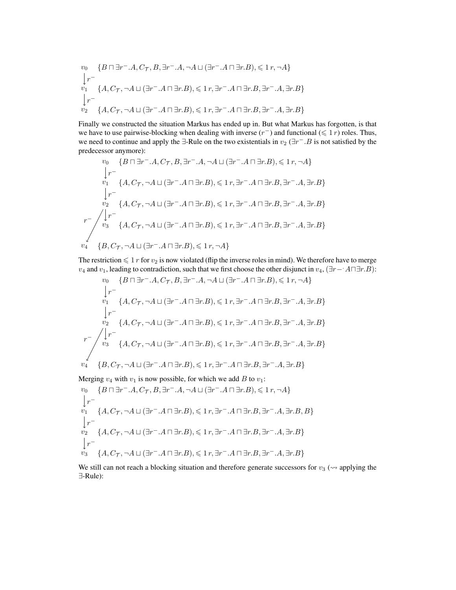$$
\begin{aligned} &v_0 &\{B\sqcap \exists r^-.A, C_{\mathcal{T}}, B, \exists r^-.A, \neg A \sqcup (\exists r^-.A\sqcap \exists r.B), \leqslant 1\, r, \neg A\} \\ &\big\downarrow r^- &\\ &v_1 &\{A, C_{\mathcal{T}}, \neg A \sqcup (\exists r^-.A\sqcap \exists r.B), \leqslant 1\, r, \exists r^-.A\sqcap \exists r.B, \exists r^-.A, \exists r.B\} \\ &\big\downarrow r^- &\\ &v_2 &\{A, C_{\mathcal{T}}, \neg A \sqcup (\exists r^-.A\sqcap \exists r.B), \leqslant 1\, r, \exists r^-.A\sqcap \exists r.B, \exists r^-.A, \exists r.B\} \end{aligned}
$$

Finally we constructed the situation Markus has ended up in. But what Markus has forgotten, is that we have to use pairwise-blocking when dealing with inverse  $(r^{-})$  and functional  $(\leq 1 r)$  roles. Thus, we need to continue and apply the  $\exists$ -Rule on the two existentials in  $v_2$  ( $\exists r^-$ . B is not satisfied by the predecessor anymore):

$$
\begin{array}{c} v_0 = \{B \sqcap \exists r^-.A, C_{\mathcal{T}}, B, \exists r^-.A, \neg A \sqcup (\exists r^-.A \sqcap \exists r.B), \leqslant 1\, r, \neg A\} \\ \downarrow r^- \\ v_1 = \{A, C_{\mathcal{T}}, \neg A \sqcup (\exists r^-.A \sqcap \exists r.B), \leqslant 1\, r, \exists r^-.A \sqcap \exists r.B, \exists r^-.A, \exists r.B\} \\ \downarrow r^- \\ v_2 = \{A, C_{\mathcal{T}}, \neg A \sqcup (\exists r^-.A \sqcap \exists r.B), \leqslant 1\, r, \exists r^-.A \sqcap \exists r.B, \exists r^-.A, \exists r.B\} \\ r^- \left\{\begin{matrix} r^- \\ v_3 \end{matrix} \right. \left.\left.\begin{matrix} \{A, C_{\mathcal{T}}, \neg A \sqcup (\exists r^-.A \sqcap \exists r.B), \leqslant 1\, r, \exists r^-.A \sqcap \exists r.B, \exists r^-.A, \exists r.B\} \\ \neg A \end{matrix} \right. \right. \\ \left. \begin{matrix} \{B, C_{\mathcal{T}}, \neg A \sqcup (\exists r^-.A \sqcap \exists r.B), \leqslant 1\, r, \neg A\} \\ \end{matrix} \right. \end{array}
$$

The restriction  $\leq 1 r$  for  $v_2$  is now violated (flip the inverse roles in mind). We therefore have to merge  $v_4$  and  $v_1$ , leading to contradiction, such that we first choose the other disjunct in  $v_4$ ,  $(\exists r - A \Box \exists r.B)$ :

$$
\begin{array}{c} v_0 = \{B \sqcap \exists r^-, A, C_{\mathcal{T}}, B, \exists r^-, A, \neg A \sqcup (\exists r^-, A \sqcap \exists r.B), \leqslant 1\, r, \neg A\} \\ \downarrow r^- \\ v_1 = \{A, C_{\mathcal{T}}, \neg A \sqcup (\exists r^-, A \sqcap \exists r.B), \leqslant 1\, r, \exists r^-, A \sqcap \exists r.B, \exists r^-, A, \exists r.B\} \\ \downarrow r^- \\ v_2 = \{A, C_{\mathcal{T}}, \neg A \sqcup (\exists r^-, A \sqcap \exists r.B), \leqslant 1\, r, \exists r^-, A \sqcap \exists r.B, \exists r^-, A, \exists r.B\} \\ r^- \\ v_3 = \{A, C_{\mathcal{T}}, \neg A \sqcup (\exists r^-, A \sqcap \exists r.B), \leqslant 1\, r, \exists r^-, A \sqcap \exists r.B, \exists r^-, A, \exists r.B\} \\ v_4 = \{B, C_{\mathcal{T}}, \neg A \sqcup (\exists r^-, A \sqcap \exists r.B), \leqslant 1\, r, \exists r^-, A \sqcap \exists r.B, \exists r^-, A, \exists r.B\} \end{array}
$$

Merging  $v_4$  with  $v_1$  is now possible, for which we add B to  $v_1$ :

$$
\begin{aligned} &v_0=\{B\sqcap \exists r^-.A, C_{\mathcal{T}}, B, \exists r^-.A, \neg A\sqcup(\exists r^-.A\sqcap \exists r.B),\leqslant 1\,r, \neg A\}\\ &\big\downarrow r^-\\ &v_1=\{A, C_{\mathcal{T}}, \neg A\sqcup(\exists r^-.A\sqcap \exists r.B),\leqslant 1\,r, \exists r^-.A\sqcap \exists r.B, \exists r^-.A, \exists r.B, B\}\\ &\big\downarrow r^-\\ &v_2=\{A, C_{\mathcal{T}}, \neg A\sqcup(\exists r^-.A\sqcap \exists r.B),\leqslant 1\,r, \exists r^-.A\sqcap \exists r.B, \exists r^-.A, \exists r.B\}\\ &v_3=\{A, C_{\mathcal{T}}, \neg A\sqcup(\exists r^-.A\sqcap \exists r.B),\leqslant 1\,r, \exists r^-.A\sqcap \exists r.B, \exists r^-.A, \exists r.B\} \end{aligned}
$$

We still can not reach a blocking situation and therefore generate successors for  $v_3 \sim$  applying the ∃-Rule):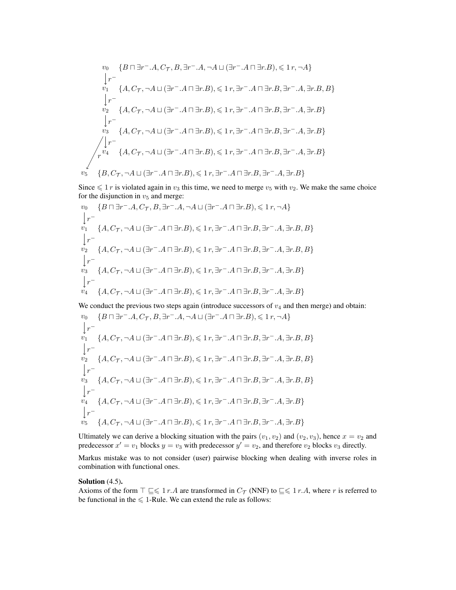$$
v_0 \{B \sqcap \exists r^-, A, C_{\mathcal{T}}, B, \exists r^-, A, \neg A \sqcup (\exists r^-, A \sqcap \exists r.B), \leqslant 1 r, \neg A\}
$$
\n
$$
\downarrow r^-
$$
\n
$$
v_1 \{A, C_{\mathcal{T}}, \neg A \sqcup (\exists r^-, A \sqcap \exists r.B), \leqslant 1 r, \exists r^-, A \sqcap \exists r.B, \exists r^-, A, \exists r.B, B\}
$$
\n
$$
\downarrow r^-
$$
\n
$$
v_2 \{A, C_{\mathcal{T}}, \neg A \sqcup (\exists r^-, A \sqcap \exists r.B), \leqslant 1 r, \exists r^-, A \sqcap \exists r.B, \exists r^-, A, \exists r.B\}
$$
\n
$$
\downarrow r^-
$$
\n
$$
v_3 \{A, C_{\mathcal{T}}, \neg A \sqcup (\exists r^-, A \sqcap \exists r.B), \leqslant 1 r, \exists r^-, A \sqcap \exists r.B, \exists r^-, A, \exists r.B\}
$$
\n
$$
\downarrow \qquad r^+
$$
\n
$$
\{A, C_{\mathcal{T}}, \neg A \sqcup (\exists r^-, A \sqcap \exists r.B), \leqslant 1 r, \exists r^-, A \sqcap \exists r.B, \exists r^-, A, \exists r.B\}
$$
\n
$$
v_5 \{B, C_{\mathcal{T}}, \neg A \sqcup (\exists r^-, A \sqcap \exists r.B), \leqslant 1 r, \exists r^-, A \sqcap \exists r.B, \exists r^-, A, \exists r.B\}
$$

Since  $\leq 1 r$  is violated again in  $v_3$  this time, we need to merge  $v_5$  with  $v_2$ . We make the same choice for the disjunction in  $v_5$  and merge:

$$
\begin{aligned} &v_0=\{B\sqcap \exists r^-.A, C_{\mathcal{T}}, B, \exists r^-.A, \neg A\sqcup(\exists r^-.A\sqcap \exists r.B),\leqslant 1\,r, \neg A\}\\ &\big\downarrow r^-\\ &v_1=\{A, C_{\mathcal{T}}, \neg A\sqcup(\exists r^-.A\sqcap \exists r.B),\leqslant 1\,r, \exists r^-.A\sqcap \exists r.B, \exists r^-.A, \exists r.B, B\}\\ &\big\downarrow r^-\\ &v_2=\{A, C_{\mathcal{T}}, \neg A\sqcup(\exists r^-.A\sqcap \exists r.B),\leqslant 1\,r, \exists r^-.A\sqcap \exists r.B, \exists r^-.A, \exists r.B, B\}\\ &\big\downarrow r^-\\ &v_3=\{A, C_{\mathcal{T}}, \neg A\sqcup(\exists r^-.A\sqcap \exists r.B),\leqslant 1\,r, \exists r^-.A\sqcap \exists r.B, \exists r^-.A, \exists r.B\}\\ &\big\downarrow r^-\\ &v_4=\{A, C_{\mathcal{T}}, \neg A\sqcup(\exists r^-.A\sqcap \exists r.B),\leqslant 1\,r, \exists r^-.A\sqcap \exists r.B, \exists r^-.A, \exists r.B\} \end{aligned}
$$

We conduct the previous two steps again (introduce successors of  $v_4$  and then merge) and obtain:

$$
v_0 \{B \sqcap \exists r^-.A, C_{\mathcal{T}}, B, \exists r^-.A, \neg A \sqcup (\exists r^-.A \sqcap \exists r.B), \leqslant 1 r, \neg A\}
$$
\n
$$
\downarrow r^-
$$
\n
$$
v_1 \{A, C_{\mathcal{T}}, \neg A \sqcup (\exists r^-.A \sqcap \exists r.B), \leqslant 1 r, \exists r^-.A \sqcap \exists r.B, \exists r^-.A, \exists r.B, B\}
$$
\n
$$
\downarrow r^-
$$
\n
$$
v_2 \{A, C_{\mathcal{T}}, \neg A \sqcup (\exists r^-.A \sqcap \exists r.B), \leqslant 1 r, \exists r^-.A \sqcap \exists r.B, \exists r^-.A, \exists r.B, B\}
$$
\n
$$
\downarrow r^-
$$
\n
$$
v_3 \{A, C_{\mathcal{T}}, \neg A \sqcup (\exists r^-.A \sqcap \exists r.B), \leqslant 1 r, \exists r^-.A \sqcap \exists r.B, \exists r^-.A, \exists r.B, B\}
$$
\n
$$
\downarrow r^-
$$
\n
$$
v_4 \{A, C_{\mathcal{T}}, \neg A \sqcup (\exists r^-.A \sqcap \exists r.B), \leqslant 1 r, \exists r^-.A \sqcap \exists r.B, \exists r^-.A, \exists r.B\}
$$
\n
$$
\downarrow r^-
$$
\n
$$
v_5 \{A, C_{\mathcal{T}}, \neg A \sqcup (\exists r^-.A \sqcap \exists r.B), \leqslant 1 r, \exists r^-.A \sqcap \exists r.B, \exists r^-.A, \exists r.B\}
$$

Ultimately we can derive a blocking situation with the pairs  $(v_1, v_2)$  and  $(v_2, v_3)$ , hence  $x = v_2$  and predecessor  $x' = v_1$  blocks  $y = v_3$  with predecessor  $y' = v_2$ , and therefore  $v_2$  blocks  $v_3$  directly.

Markus mistake was to not consider (user) pairwise blocking when dealing with inverse roles in combination with functional ones.

#### Solution  $(4.5)$ .

Axioms of the form  $\top \sqsubseteq \leq 1$  r.A are transformed in  $C_{\mathcal{T}}$  (NNF) to  $\sqsubseteq \leq 1$  r.A, where r is referred to be functional in the  $\leq 1$ -Rule. We can extend the rule as follows: